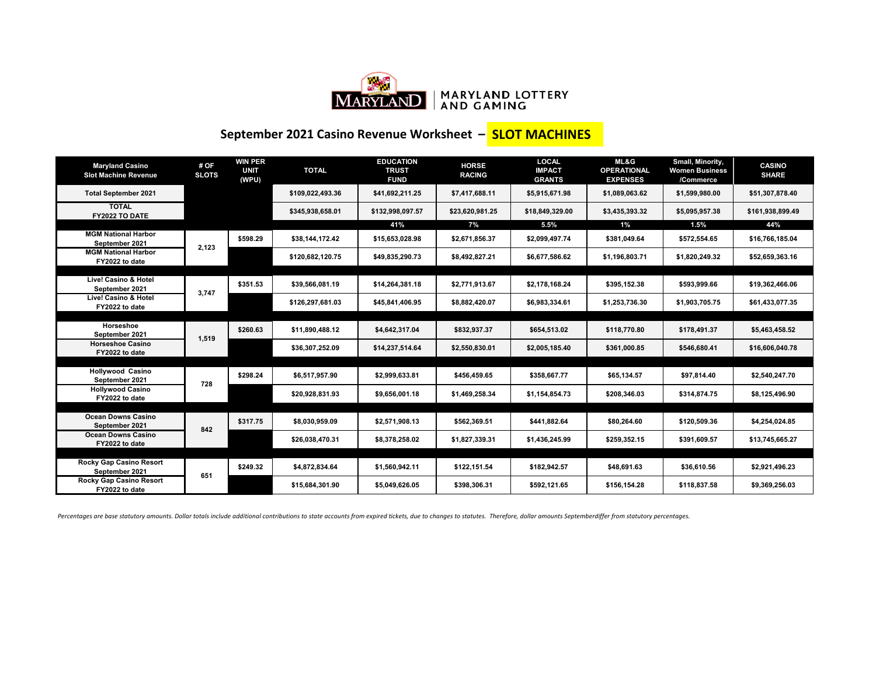

## **September 2021 Casino Revenue Worksheet – SLOT MACHINES**

| <b>Maryland Casino</b><br><b>Slot Machine Revenue</b> | # OF<br><b>SLOTS</b> | <b>WIN PER</b><br><b>UNIT</b><br>(WPU) | <b>TOTAL</b>     | <b>EDUCATION</b><br><b>TRUST</b><br><b>FUND</b> | <b>HORSE</b><br><b>RACING</b> | LOCAL<br><b>IMPACT</b><br><b>GRANTS</b> | <b>ML&amp;G</b><br><b>OPERATIONAL</b><br><b>EXPENSES</b> | Small, Minority,<br><b>Women Business</b><br>/Commerce | <b>CASINO</b><br><b>SHARE</b> |
|-------------------------------------------------------|----------------------|----------------------------------------|------------------|-------------------------------------------------|-------------------------------|-----------------------------------------|----------------------------------------------------------|--------------------------------------------------------|-------------------------------|
| <b>Total September 2021</b>                           |                      |                                        | \$109.022.493.36 | \$41,692,211.25                                 | \$7.417.688.11                | \$5,915,671.98                          | \$1.089.063.62                                           | \$1.599.980.00                                         | \$51,307,878.40               |
| <b>TOTAL</b><br><b>FY2022 TO DATE</b>                 |                      |                                        | \$345,938,658.01 | \$132,998,097.57                                | \$23,620,981.25               | \$18,849,329.00                         | \$3,435,393.32                                           | \$5,095,957.38                                         | \$161,938,899.49              |
|                                                       |                      |                                        |                  | 41%                                             | 7%                            | 5.5%                                    | $1\%$                                                    | 1.5%                                                   | 44%                           |
| <b>MGM National Harbor</b><br>September 2021          | 2,123                | \$598.29                               | \$38.144.172.42  | \$15,653,028.98                                 | \$2.671.856.37                | \$2,099,497.74                          | \$381.049.64                                             | \$572,554.65                                           | \$16,766,185.04               |
| <b>MGM National Harbor</b><br>FY2022 to date          |                      |                                        | \$120,682,120.75 | \$49,835,290.73                                 | \$8,492,827.21                | \$6,677,586.62                          | \$1,196,803.71                                           | \$1,820,249.32                                         | \$52,659,363.16               |
|                                                       |                      |                                        |                  |                                                 |                               |                                         |                                                          |                                                        |                               |
| <b>Live! Casino &amp; Hotel</b><br>September 2021     | 3,747                | \$351.53                               | \$39,566,081.19  | \$14,264,381.18                                 | \$2.771.913.67                | \$2.178.168.24                          | \$395.152.38                                             | \$593.999.66                                           | \$19,362,466.06               |
| Live! Casino & Hotel<br>FY2022 to date                |                      |                                        | \$126,297,681.03 | \$45,841,406.95                                 | \$8,882,420.07                | \$6,983,334.61                          | \$1,253,736.30                                           | \$1,903,705.75                                         | \$61,433,077.35               |
|                                                       |                      |                                        |                  |                                                 |                               |                                         |                                                          |                                                        |                               |
| Horseshoe<br>September 2021                           | 1,519                | \$260.63                               | \$11.890.488.12  | \$4.642.317.04                                  | \$832.937.37                  | \$654.513.02                            | \$118,770.80                                             | \$178.491.37                                           | \$5.463.458.52                |
| <b>Horseshoe Casino</b><br>FY2022 to date             |                      |                                        | \$36.307.252.09  | \$14.237.514.64                                 | \$2.550.830.01                | \$2.005.185.40                          | \$361.000.85                                             | \$546.680.41                                           | \$16,606,040.78               |
|                                                       |                      |                                        |                  |                                                 |                               |                                         |                                                          |                                                        |                               |
| <b>Hollywood Casino</b><br>September 2021             | 728                  | \$298.24                               | \$6,517,957.90   | \$2,999,633.81                                  | \$456,459.65                  | \$358,667.77                            | \$65.134.57                                              | \$97,814.40                                            | \$2,540,247.70                |
| <b>Hollywood Casino</b><br>FY2022 to date             |                      |                                        | \$20.928.831.93  | \$9.656.001.18                                  | \$1.469.258.34                | \$1,154,854.73                          | \$208.346.03                                             | \$314.874.75                                           | \$8.125.496.90                |
|                                                       |                      |                                        |                  |                                                 |                               |                                         |                                                          |                                                        |                               |
| <b>Ocean Downs Casino</b><br>September 2021           | 842                  | \$317.75                               | \$8,030,959.09   | \$2,571,908.13                                  | \$562,369.51                  | \$441,882.64                            | \$80,264.60                                              | \$120,509.36                                           | \$4,254,024.85                |
| <b>Ocean Downs Casino</b><br>FY2022 to date           |                      |                                        | \$26,038,470.31  | \$8,378,258.02                                  | \$1,827,339.31                | \$1,436,245.99                          | \$259,352.15                                             | \$391,609.57                                           | \$13,745,665.27               |
|                                                       |                      |                                        |                  |                                                 |                               |                                         |                                                          |                                                        |                               |
| Rocky Gap Casino Resort<br>September 2021             |                      | \$249.32                               | \$4,872,834.64   | \$1,560,942.11                                  | \$122,151.54                  | \$182,942.57                            | \$48.691.63                                              | \$36,610.56                                            | \$2,921,496.23                |
| Rocky Gap Casino Resort<br>FY2022 to date             | 651                  |                                        | \$15,684,301.90  | \$5,049,626.05                                  | \$398,306.31                  | \$592,121.65                            | \$156,154.28                                             | \$118,837.58                                           | \$9,369,256.03                |

Percentages are base statutory amounts. Dollar totals include additional contributions to state accounts from expired tickets, due to changes to statutes. Therefore, dollar amounts Septemberdiffer from statutory percentage